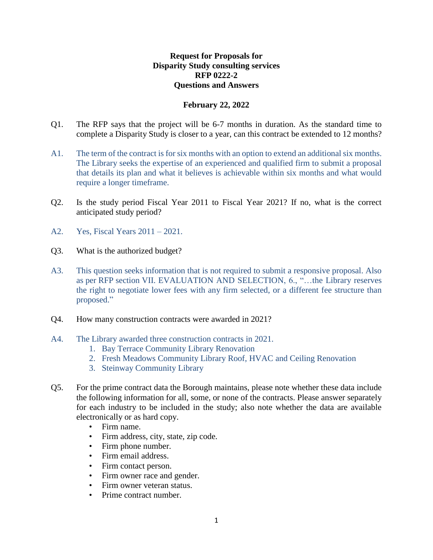## **Request for Proposals for Disparity Study consulting services RFP 0222-2 Questions and Answers**

## **February 22, 2022**

- Q1. The RFP says that the project will be 6-7 months in duration. As the standard time to complete a Disparity Study is closer to a year, can this contract be extended to 12 months?
- A1. The term of the contract is for six months with an option to extend an additional six months. The Library seeks the expertise of an experienced and qualified firm to submit a proposal that details its plan and what it believes is achievable within six months and what would require a longer timeframe.
- Q2. Is the study period Fiscal Year 2011 to Fiscal Year 2021? If no, what is the correct anticipated study period?
- A2. Yes, Fiscal Years 2011 2021.
- Q3. What is the authorized budget?
- A3. This question seeks information that is not required to submit a responsive proposal. Also as per RFP section VII. EVALUATION AND SELECTION, 6., "…the Library reserves the right to negotiate lower fees with any firm selected, or a different fee structure than proposed."
- Q4. How many construction contracts were awarded in 2021?
- A4. The Library awarded three construction contracts in 2021.
	- 1. Bay Terrace Community Library Renovation
	- 2. Fresh Meadows Community Library Roof, HVAC and Ceiling Renovation
	- 3. Steinway Community Library
- Q5. For the prime contract data the Borough maintains, please note whether these data include the following information for all, some, or none of the contracts. Please answer separately for each industry to be included in the study; also note whether the data are available electronically or as hard copy.
	- Firm name.
	- Firm address, city, state, zip code.
	- Firm phone number.
	- Firm email address.
	- Firm contact person.
	- Firm owner race and gender.
	- Firm owner veteran status.
	- Prime contract number.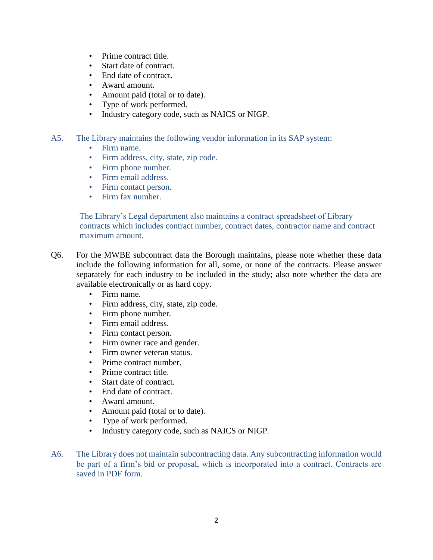- Prime contract title.
- Start date of contract.
- End date of contract.
- Award amount.
- Amount paid (total or to date).
- Type of work performed.
- Industry category code, such as NAICS or NIGP.
- A5. The Library maintains the following vendor information in its SAP system:
	- Firm name.
	- Firm address, city, state, zip code.
	- Firm phone number.
	- Firm email address.
	- Firm contact person.
	- Firm fax number.

The Library's Legal department also maintains a contract spreadsheet of Library contracts which includes contract number, contract dates, contractor name and contract maximum amount.

- Q6. For the MWBE subcontract data the Borough maintains, please note whether these data include the following information for all, some, or none of the contracts. Please answer separately for each industry to be included in the study; also note whether the data are available electronically or as hard copy.
	- Firm name.
	- Firm address, city, state, zip code.
	- Firm phone number.
	- Firm email address.
	- Firm contact person.
	- Firm owner race and gender.
	- Firm owner veteran status.
	- Prime contract number.
	- Prime contract title.
	- Start date of contract.
	- End date of contract.
	- Award amount.
	- Amount paid (total or to date).
	- Type of work performed.
	- Industry category code, such as NAICS or NIGP.
- A6. The Library does not maintain subcontracting data. Any subcontracting information would be part of a firm's bid or proposal, which is incorporated into a contract. Contracts are saved in PDF form.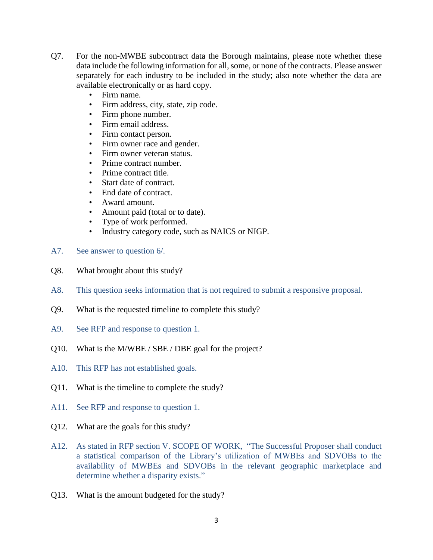- Q7. For the non-MWBE subcontract data the Borough maintains, please note whether these data include the following information for all, some, or none of the contracts. Please answer separately for each industry to be included in the study; also note whether the data are available electronically or as hard copy.
	- Firm name.
	- Firm address, city, state, zip code.
	- Firm phone number.
	- Firm email address.
	- Firm contact person.
	- Firm owner race and gender.
	- Firm owner veteran status.
	- Prime contract number.
	- Prime contract title.
	- Start date of contract.
	- End date of contract.
	- Award amount.
	- Amount paid (total or to date).
	- Type of work performed.
	- Industry category code, such as NAICS or NIGP.
- A7. See answer to question 6/.
- Q8. What brought about this study?
- A8. This question seeks information that is not required to submit a responsive proposal.
- Q9. What is the requested timeline to complete this study?
- A9. See RFP and response to question 1.
- Q10. What is the M/WBE / SBE / DBE goal for the project?
- A10. This RFP has not established goals.
- Q11. What is the timeline to complete the study?
- A11. See RFP and response to question 1.
- Q12. What are the goals for this study?
- A12. As stated in RFP section V. SCOPE OF WORK, "The Successful Proposer shall conduct a statistical comparison of the Library's utilization of MWBEs and SDVOBs to the availability of MWBEs and SDVOBs in the relevant geographic marketplace and determine whether a disparity exists."
- Q13. What is the amount budgeted for the study?